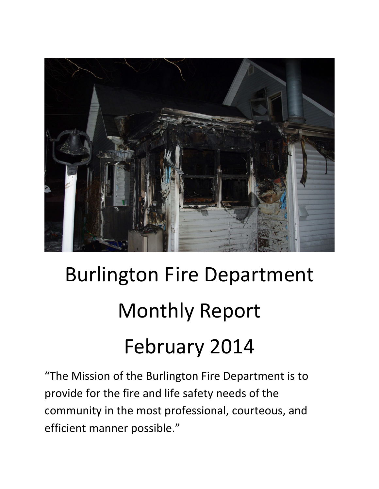

# Burlington Fire Department Monthly Report February 2014

"The Mission of the Burlington Fire Department is to provide for the fire and life safety needs of the community in the most professional, courteous, and efficient manner possible."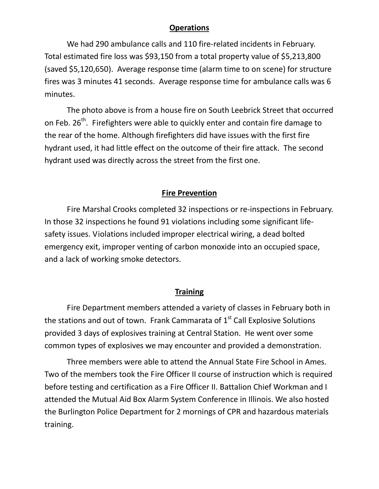#### **Operations**

We had 290 ambulance calls and 110 fire-related incidents in February. Total estimated fire loss was \$93,150 from a total property value of \$5,213,800 (saved \$5,120,650). Average response time (alarm time to on scene) for structure fires was 3 minutes 41 seconds. Average response time for ambulance calls was 6 minutes.

The photo above is from a house fire on South Leebrick Street that occurred on Feb. 26<sup>th</sup>. Firefighters were able to quickly enter and contain fire damage to the rear of the home. Although firefighters did have issues with the first fire hydrant used, it had little effect on the outcome of their fire attack. The second hydrant used was directly across the street from the first one.

#### **Fire Prevention**

 Fire Marshal Crooks completed 32 inspections or re-inspections in February. In those 32 inspections he found 91 violations including some significant lifesafety issues. Violations included improper electrical wiring, a dead bolted emergency exit, improper venting of carbon monoxide into an occupied space, and a lack of working smoke detectors.

#### **Training**

Fire Department members attended a variety of classes in February both in the stations and out of town. Frank Cammarata of  $1<sup>st</sup>$  Call Explosive Solutions provided 3 days of explosives training at Central Station. He went over some common types of explosives we may encounter and provided a demonstration.

Three members were able to attend the Annual State Fire School in Ames. Two of the members took the Fire Officer II course of instruction which is required before testing and certification as a Fire Officer II. Battalion Chief Workman and I attended the Mutual Aid Box Alarm System Conference in Illinois. We also hosted the Burlington Police Department for 2 mornings of CPR and hazardous materials training.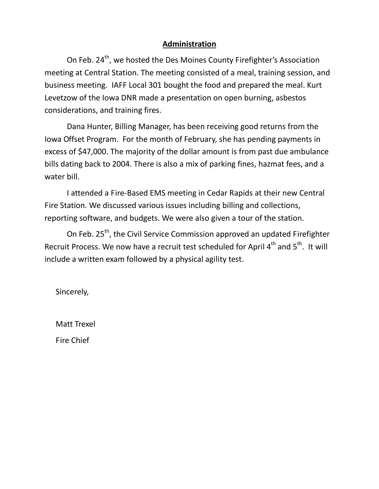#### **Administration**

On Feb. 24<sup>th</sup>, we hosted the Des Moines County Firefighter's Association meeting at Central Station. The meeting consisted of a meal, training session, and business meeting. IAFF Local 301 bought the food and prepared the meal. Kurt Levetzow of the Iowa DNR made a presentation on open burning, asbestos considerations, and training fires.

 Dana Hunter, Billing Manager, has been receiving good returns from the Iowa Offset Program. For the month of February, she has pending payments in excess of \$47,000. The majority of the dollar amount is from past due ambulance bills dating back to 2004. There is also a mix of parking fines, hazmat fees, and a water bill.

 I attended a Fire-Based EMS meeting in Cedar Rapids at their new Central Fire Station. We discussed various issues including billing and collections, reporting software, and budgets. We were also given a tour of the station.

On Feb. 25<sup>th</sup>, the Civil Service Commission approved an updated Firefighter Recruit Process. We now have a recruit test scheduled for April 4<sup>th</sup> and 5<sup>th</sup>. It will include a written exam followed by a physical agility test.

Sincerely,

Matt Trexel Fire Chief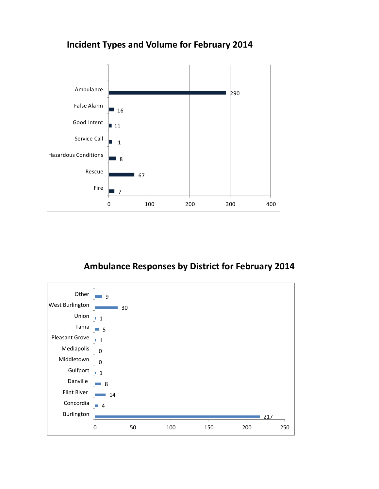

# **Incident Types and Volume for February 2014**

# **Ambulance Responses by District for February 2014**